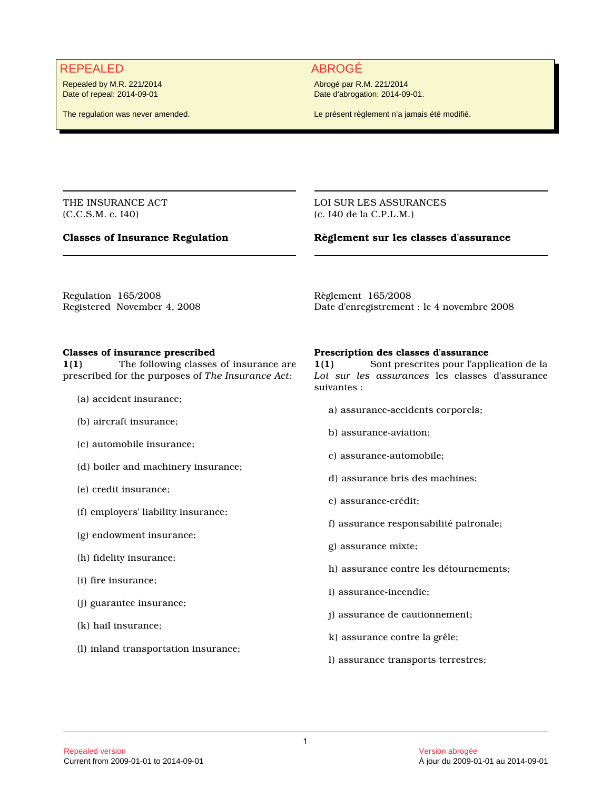# REPEALED ABROGÉ

Repealed by M.R. 221/2014 Date of repeal: 2014-09-01

The regulation was never amended.

Abrogé par R.M. 221/2014 Date d'abrogation: 2014-09-01.

Le présent règlement n'a jamais été modifié.

THE INSURANCE ACT (C.C.S.M. c. I40)

# **Classes of Insurance Regulation**

LOI SUR LES ASSURANCES (c. I40 de la C.P.L.M.)

# **Règlement sur les classes d'assurance**

Regulation 165/2008 Registered November 4, 2008 Règlement 165/2008 Date d'enregistrement : le 4 novembre 2008

### **Classes of insurance prescribed**

**1(1)** The following classes of insurance are prescribed for the purposes of *The Insurance Act*:

- (a) accident insurance;
- (b) aircraft insurance;
- (c) automobile insurance;
- (d) boiler and machinery insurance;
- (e) credit insurance;
- (f) employers' liability insurance;
- (g) endowment insurance;
- (h) fidelity insurance;
- (i) fire insurance;
- (j) guarantee insurance;
- (k) hail insurance;
- (l) inland transportation insurance;

### **Prescription des classes d'assurance**

**1(1)** Sont prescrites pour l'application de la *Loi sur les assurances* les classes d'assurance suivantes :

- a) assurance-accidents corporels;
- b) assurance-aviation;
- c) assurance-automobile;
- d) assurance bris des machines;
- e) assurance-crédit;
- f) assurance responsabilité patronale;
- g) assurance mixte;
- h) assurance contre les détournements;
- i) assurance-incendie;
- j) assurance de cautionnement;
- k) assurance contre la grêle;
- l) assurance transports terrestres;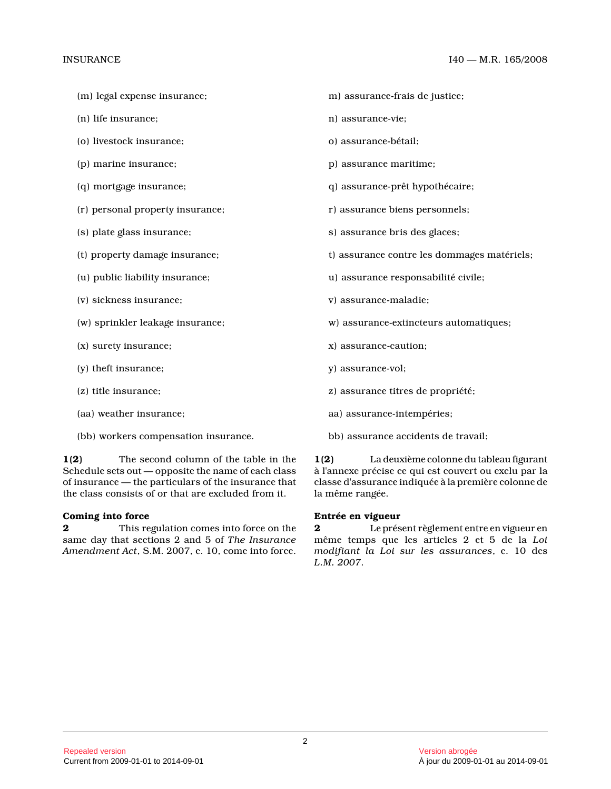- (m) legal expense insurance;
- (n) life insurance;
- (o) livestock insurance;
- (p) marine insurance;
- (q) mortgage insurance;
- (r) personal property insurance;
- (s) plate glass insurance;
- (t) property damage insurance;
- (u) public liability insurance;
- (v) sickness insurance;
- (w) sprinkler leakage insurance;
- (x) surety insurance;
- (y) theft insurance;
- (z) title insurance;
- (aa) weather insurance;
- (bb) workers compensation insurance.

**1(2)** The second column of the table in the Schedule sets out — opposite the name of each class of insurance — the particulars of the insurance tha t the class consists of or that are excluded from it.

#### **Coming into force**

**2** This regulation comes into force on the same day that sections 2 and 5 of *The Insurance Amendment Act*, S.M. 2007, c. 10, come into force.

- m) assurance-frais de justice;
- n) assurance-vie;
- o) assurance-bétail;
- p) assurance maritime;
- q) assurance-prêt hypothécaire;
- r) assurance biens personnels;
- s) assurance bris des glaces;
- t) assurance contre les dommages matériels;
- u) assurance responsabilité civile;
- v) assurance-maladie;
- w) assurance-extincteurs automatiques;
- x) assurance-caution;
- y) assurance-vol;
- z) assurance titres de propriété;
- aa) assurance-intempéries;
- bb) assurance accidents de travail;

**1(2)** La deuxième colonne du tableau figurant à l'annexe précise ce qui est couvert ou exclu par la classe d'assurance indiquée à la première colonne d e la même rangée.

### **Entrée en vigueur**

**2** Le présent règlement entre en vigueur en même temps que les articles 2 et 5 de la *Loi modifiant la Loi sur les assurances*, c. 10 des *L.M. 2007* .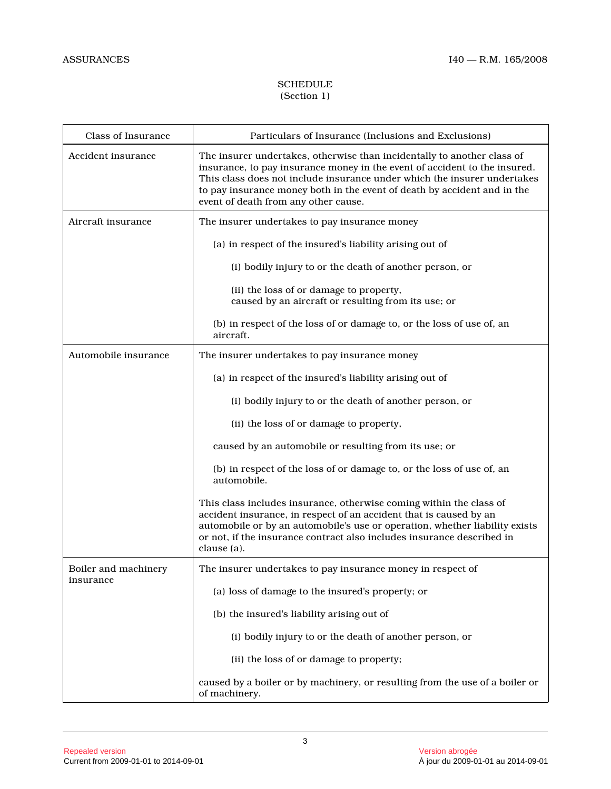# **SCHEDULE** (Section 1)

| <b>Class of Insurance</b> | Particulars of Insurance (Inclusions and Exclusions)                                                                                                                                                                                                                                                                                                  |
|---------------------------|-------------------------------------------------------------------------------------------------------------------------------------------------------------------------------------------------------------------------------------------------------------------------------------------------------------------------------------------------------|
| Accident insurance        | The insurer undertakes, otherwise than incidentally to another class of<br>insurance, to pay insurance money in the event of accident to the insured.<br>This class does not include insurance under which the insurer undertakes<br>to pay insurance money both in the event of death by accident and in the<br>event of death from any other cause. |
| Aircraft insurance        | The insurer undertakes to pay insurance money                                                                                                                                                                                                                                                                                                         |
|                           | (a) in respect of the insured's liability arising out of                                                                                                                                                                                                                                                                                              |
|                           | (i) bodily injury to or the death of another person, or                                                                                                                                                                                                                                                                                               |
|                           | (ii) the loss of or damage to property,<br>caused by an aircraft or resulting from its use; or                                                                                                                                                                                                                                                        |
|                           | (b) in respect of the loss of or damage to, or the loss of use of, an<br>aircraft.                                                                                                                                                                                                                                                                    |
| Automobile insurance      | The insurer undertakes to pay insurance money                                                                                                                                                                                                                                                                                                         |
|                           | (a) in respect of the insured's liability arising out of                                                                                                                                                                                                                                                                                              |
|                           | (i) bodily injury to or the death of another person, or                                                                                                                                                                                                                                                                                               |
|                           | (ii) the loss of or damage to property,                                                                                                                                                                                                                                                                                                               |
|                           | caused by an automobile or resulting from its use; or                                                                                                                                                                                                                                                                                                 |
|                           | (b) in respect of the loss of or damage to, or the loss of use of, an<br>automobile.                                                                                                                                                                                                                                                                  |
|                           | This class includes insurance, otherwise coming within the class of<br>accident insurance, in respect of an accident that is caused by an<br>automobile or by an automobile's use or operation, whether liability exists<br>or not, if the insurance contract also includes insurance described in<br>clause (a).                                     |
| Boiler and machinery      | The insurer undertakes to pay insurance money in respect of                                                                                                                                                                                                                                                                                           |
| insurance                 | (a) loss of damage to the insured's property; or                                                                                                                                                                                                                                                                                                      |
|                           | (b) the insured's liability arising out of                                                                                                                                                                                                                                                                                                            |
|                           | (i) bodily injury to or the death of another person, or                                                                                                                                                                                                                                                                                               |
|                           | (ii) the loss of or damage to property;                                                                                                                                                                                                                                                                                                               |
|                           | caused by a boiler or by machinery, or resulting from the use of a boiler or<br>of machinery.                                                                                                                                                                                                                                                         |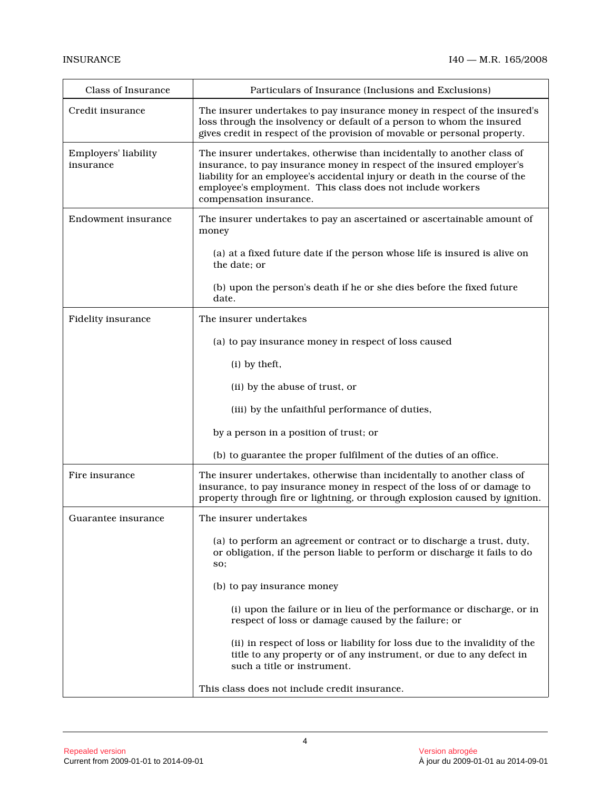| <b>Class of Insurance</b>         | Particulars of Insurance (Inclusions and Exclusions)                                                                                                                                                                                                                                                                      |
|-----------------------------------|---------------------------------------------------------------------------------------------------------------------------------------------------------------------------------------------------------------------------------------------------------------------------------------------------------------------------|
| Credit insurance                  | The insurer undertakes to pay insurance money in respect of the insured's<br>loss through the insolvency or default of a person to whom the insured<br>gives credit in respect of the provision of movable or personal property.                                                                                          |
| Employers' liability<br>insurance | The insurer undertakes, otherwise than incidentally to another class of<br>insurance, to pay insurance money in respect of the insured employer's<br>liability for an employee's accidental injury or death in the course of the<br>employee's employment. This class does not include workers<br>compensation insurance. |
| Endowment insurance               | The insurer undertakes to pay an ascertained or ascertainable amount of<br>money                                                                                                                                                                                                                                          |
|                                   | (a) at a fixed future date if the person whose life is insured is alive on<br>the date; or                                                                                                                                                                                                                                |
|                                   | (b) upon the person's death if he or she dies before the fixed future<br>date.                                                                                                                                                                                                                                            |
| <b>Fidelity insurance</b>         | The insurer undertakes                                                                                                                                                                                                                                                                                                    |
|                                   | (a) to pay insurance money in respect of loss caused                                                                                                                                                                                                                                                                      |
|                                   | (i) by theft,                                                                                                                                                                                                                                                                                                             |
|                                   | (ii) by the abuse of trust, or                                                                                                                                                                                                                                                                                            |
|                                   | (iii) by the unfaithful performance of duties,                                                                                                                                                                                                                                                                            |
|                                   | by a person in a position of trust; or                                                                                                                                                                                                                                                                                    |
|                                   | (b) to guarantee the proper fulfilment of the duties of an office.                                                                                                                                                                                                                                                        |
| Fire insurance                    | The insurer undertakes, otherwise than incidentally to another class of<br>insurance, to pay insurance money in respect of the loss of or damage to<br>property through fire or lightning, or through explosion caused by ignition.                                                                                       |
| Guarantee insurance               | The insurer undertakes                                                                                                                                                                                                                                                                                                    |
|                                   | (a) to perform an agreement or contract or to discharge a trust, duty,<br>or obligation, if the person liable to perform or discharge it fails to do<br>SO;                                                                                                                                                               |
|                                   | (b) to pay insurance money                                                                                                                                                                                                                                                                                                |
|                                   | (i) upon the failure or in lieu of the performance or discharge, or in<br>respect of loss or damage caused by the failure; or                                                                                                                                                                                             |
|                                   | (ii) in respect of loss or liability for loss due to the invalidity of the<br>title to any property or of any instrument, or due to any defect in<br>such a title or instrument.                                                                                                                                          |
|                                   | This class does not include credit insurance.                                                                                                                                                                                                                                                                             |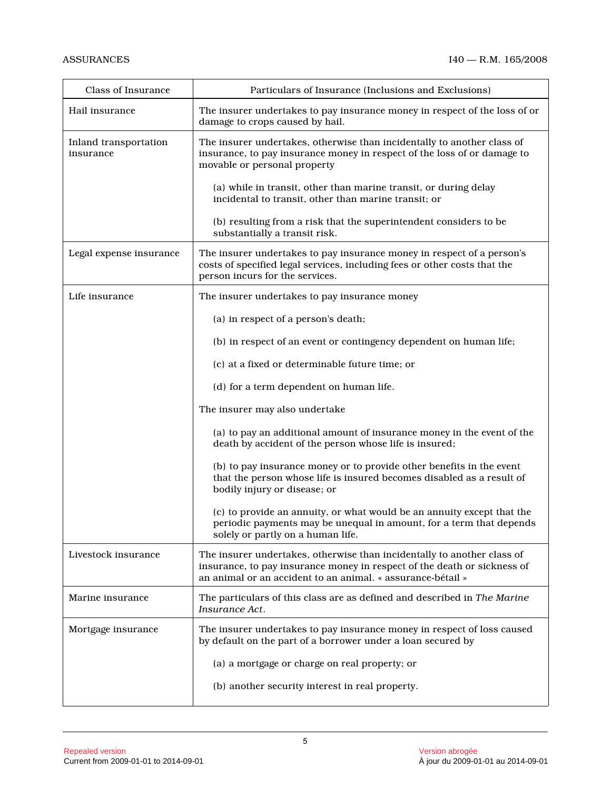| Class of Insurance                 | Particulars of Insurance (Inclusions and Exclusions)                                                                                                                                                               |
|------------------------------------|--------------------------------------------------------------------------------------------------------------------------------------------------------------------------------------------------------------------|
| Hail insurance                     | The insurer undertakes to pay insurance money in respect of the loss of or<br>damage to crops caused by hail.                                                                                                      |
| Inland transportation<br>insurance | The insurer undertakes, otherwise than incidentally to another class of<br>insurance, to pay insurance money in respect of the loss of or damage to<br>movable or personal property                                |
|                                    | (a) while in transit, other than marine transit, or during delay<br>incidental to transit, other than marine transit; or                                                                                           |
|                                    | (b) resulting from a risk that the superintendent considers to be<br>substantially a transit risk.                                                                                                                 |
| Legal expense insurance            | The insurer undertakes to pay insurance money in respect of a person's<br>costs of specified legal services, including fees or other costs that the<br>person incurs for the services.                             |
| Life insurance                     | The insurer undertakes to pay insurance money                                                                                                                                                                      |
|                                    | (a) in respect of a person's death;                                                                                                                                                                                |
|                                    | (b) in respect of an event or contingency dependent on human life;                                                                                                                                                 |
|                                    | (c) at a fixed or determinable future time; or                                                                                                                                                                     |
|                                    | (d) for a term dependent on human life.                                                                                                                                                                            |
|                                    | The insurer may also undertake                                                                                                                                                                                     |
|                                    | (a) to pay an additional amount of insurance money in the event of the<br>death by accident of the person whose life is insured;                                                                                   |
|                                    | (b) to pay insurance money or to provide other benefits in the event<br>that the person whose life is insured becomes disabled as a result of<br>bodily injury or disease; or                                      |
|                                    | (c) to provide an annuity, or what would be an annuity except that the<br>periodic payments may be unequal in amount, for a term that depends<br>solely or partly on a human life.                                 |
| Livestock insurance                | The insurer undertakes, otherwise than incidentally to another class of<br>insurance, to pay insurance money in respect of the death or sickness of<br>an animal or an accident to an animal. « assurance-bétail » |
| Marine insurance                   | The particulars of this class are as defined and described in The Marine<br>Insurance Act.                                                                                                                         |
| Mortgage insurance                 | The insurer undertakes to pay insurance money in respect of loss caused<br>by default on the part of a borrower under a loan secured by                                                                            |
|                                    | (a) a mortgage or charge on real property; or                                                                                                                                                                      |
|                                    | (b) another security interest in real property.                                                                                                                                                                    |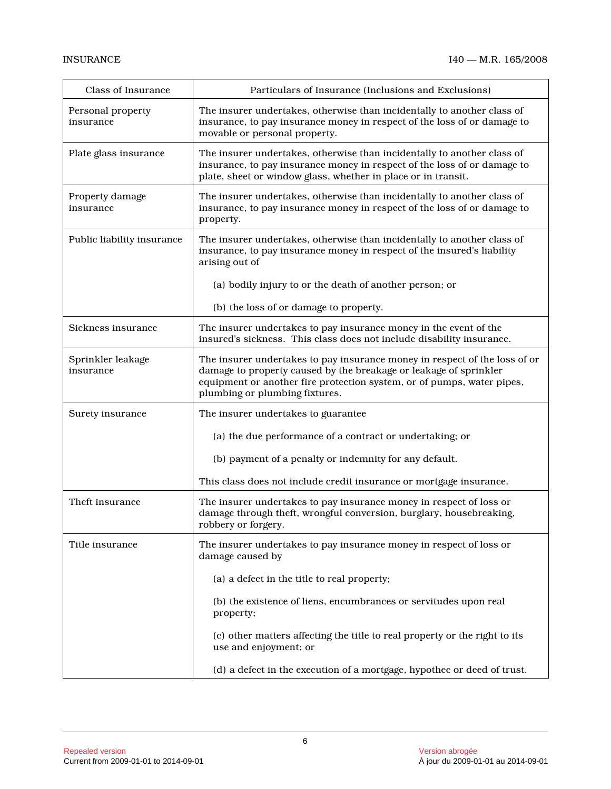| <b>Class of Insurance</b>      | Particulars of Insurance (Inclusions and Exclusions)                                                                                                                                                                                                        |
|--------------------------------|-------------------------------------------------------------------------------------------------------------------------------------------------------------------------------------------------------------------------------------------------------------|
| Personal property<br>insurance | The insurer undertakes, otherwise than incidentally to another class of<br>insurance, to pay insurance money in respect of the loss of or damage to<br>movable or personal property.                                                                        |
| Plate glass insurance          | The insurer undertakes, otherwise than incidentally to another class of<br>insurance, to pay insurance money in respect of the loss of or damage to<br>plate, sheet or window glass, whether in place or in transit.                                        |
| Property damage<br>insurance   | The insurer undertakes, otherwise than incidentally to another class of<br>insurance, to pay insurance money in respect of the loss of or damage to<br>property.                                                                                            |
| Public liability insurance     | The insurer undertakes, otherwise than incidentally to another class of<br>insurance, to pay insurance money in respect of the insured's liability<br>arising out of                                                                                        |
|                                | (a) bodily injury to or the death of another person; or                                                                                                                                                                                                     |
|                                | (b) the loss of or damage to property.                                                                                                                                                                                                                      |
| Sickness insurance             | The insurer undertakes to pay insurance money in the event of the<br>insured's sickness. This class does not include disability insurance.                                                                                                                  |
| Sprinkler leakage<br>insurance | The insurer undertakes to pay insurance money in respect of the loss of or<br>damage to property caused by the breakage or leakage of sprinkler<br>equipment or another fire protection system, or of pumps, water pipes,<br>plumbing or plumbing fixtures. |
| Surety insurance               | The insurer undertakes to guarantee                                                                                                                                                                                                                         |
|                                | (a) the due performance of a contract or undertaking; or                                                                                                                                                                                                    |
|                                | (b) payment of a penalty or indemnity for any default.                                                                                                                                                                                                      |
|                                | This class does not include credit insurance or mortgage insurance.                                                                                                                                                                                         |
| Theft insurance                | The insurer undertakes to pay insurance money in respect of loss or<br>damage through theft, wrongful conversion, burglary, housebreaking,<br>robbery or forgery.                                                                                           |
| Title insurance                | The insurer undertakes to pay insurance money in respect of loss or<br>damage caused by                                                                                                                                                                     |
|                                | (a) a defect in the title to real property;                                                                                                                                                                                                                 |
|                                | (b) the existence of liens, encumbrances or servitudes upon real<br>property;                                                                                                                                                                               |
|                                | (c) other matters affecting the title to real property or the right to its<br>use and enjoyment; or                                                                                                                                                         |
|                                | (d) a defect in the execution of a mortgage, hypothec or deed of trust.                                                                                                                                                                                     |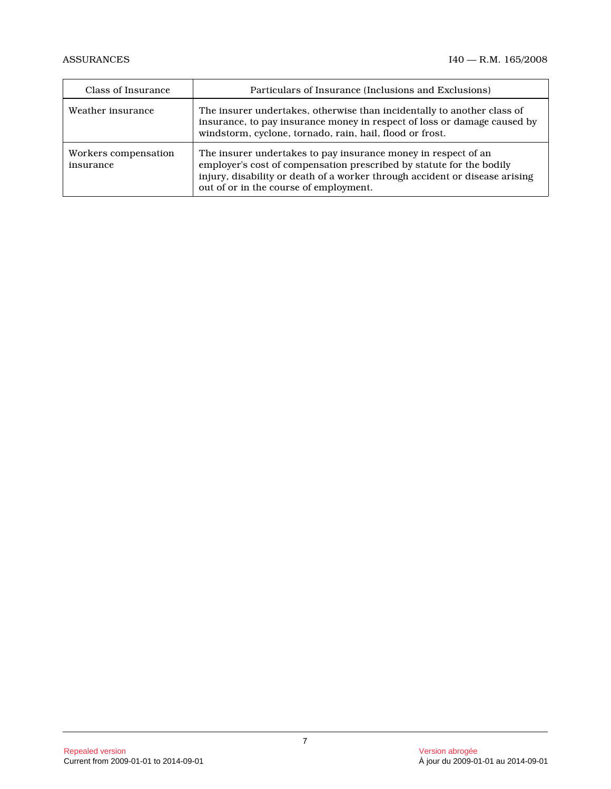| Class of Insurance                | Particulars of Insurance (Inclusions and Exclusions)                                                                                                                                                                                                            |
|-----------------------------------|-----------------------------------------------------------------------------------------------------------------------------------------------------------------------------------------------------------------------------------------------------------------|
| Weather insurance                 | The insurer undertakes, otherwise than incidentally to another class of<br>insurance, to pay insurance money in respect of loss or damage caused by<br>windstorm, cyclone, tornado, rain, hail, flood or frost.                                                 |
| Workers compensation<br>insurance | The insurer undertakes to pay insurance money in respect of an<br>employer's cost of compensation prescribed by statute for the bodily<br>injury, disability or death of a worker through accident or disease arising<br>out of or in the course of employment. |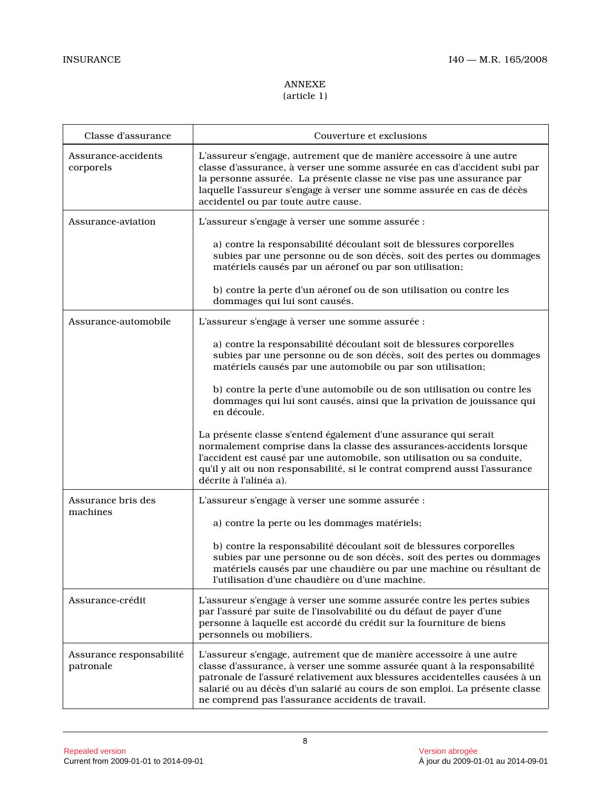# ANNEXE (article 1)

| Classe d'assurance                    | Couverture et exclusions                                                                                                                                                                                                                                                                                                                                            |
|---------------------------------------|---------------------------------------------------------------------------------------------------------------------------------------------------------------------------------------------------------------------------------------------------------------------------------------------------------------------------------------------------------------------|
| Assurance-accidents<br>corporels      | L'assureur s'engage, autrement que de manière accessoire à une autre<br>classe d'assurance, à verser une somme assurée en cas d'accident subi par<br>la personne assurée. La présente classe ne vise pas une assurance par<br>laquelle l'assureur s'engage à verser une somme assurée en cas de décès<br>accidentel ou par toute autre cause.                       |
| Assurance-aviation                    | L'assureur s'engage à verser une somme assurée :                                                                                                                                                                                                                                                                                                                    |
|                                       | a) contre la responsabilité découlant soit de blessures corporelles<br>subies par une personne ou de son décès, soit des pertes ou dommages<br>matériels causés par un aéronef ou par son utilisation;                                                                                                                                                              |
|                                       | b) contre la perte d'un aéronef ou de son utilisation ou contre les<br>dommages qui lui sont causés.                                                                                                                                                                                                                                                                |
| Assurance-automobile                  | L'assureur s'engage à verser une somme assurée :                                                                                                                                                                                                                                                                                                                    |
|                                       | a) contre la responsabilité découlant soit de blessures corporelles<br>subies par une personne ou de son décès, soit des pertes ou dommages<br>matériels causés par une automobile ou par son utilisation;                                                                                                                                                          |
|                                       | b) contre la perte d'une automobile ou de son utilisation ou contre les<br>dommages qui lui sont causés, ainsi que la privation de jouissance qui<br>en découle.                                                                                                                                                                                                    |
|                                       | La présente classe s'entend également d'une assurance qui serait<br>normalement comprise dans la classe des assurances-accidents lorsque<br>l'accident est causé par une automobile, son utilisation ou sa conduite,<br>qu'il y ait ou non responsabilité, si le contrat comprend aussi l'assurance<br>décrite à l'alinéa a).                                       |
| Assurance bris des<br>machines        | L'assureur s'engage à verser une somme assurée :                                                                                                                                                                                                                                                                                                                    |
|                                       | a) contre la perte ou les dommages matériels;                                                                                                                                                                                                                                                                                                                       |
|                                       | b) contre la responsabilité découlant soit de blessures corporelles<br>subies par une personne ou de son décès, soit des pertes ou dommages<br>matériels causés par une chaudière ou par une machine ou résultant de<br>l'utilisation d'une chaudière ou d'une machine.                                                                                             |
| Assurance-crédit                      | L'assureur s'engage à verser une somme assurée contre les pertes subies<br>par l'assuré par suite de l'insolvabilité ou du défaut de payer d'une<br>personne à laquelle est accordé du crédit sur la fourniture de biens<br>personnels ou mobiliers.                                                                                                                |
| Assurance responsabilité<br>patronale | L'assureur s'engage, autrement que de manière accessoire à une autre<br>classe d'assurance, à verser une somme assurée quant à la responsabilité<br>patronale de l'assuré relativement aux blessures accidentelles causées à un<br>salarié ou au décès d'un salarié au cours de son emploi. La présente classe<br>ne comprend pas l'assurance accidents de travail. |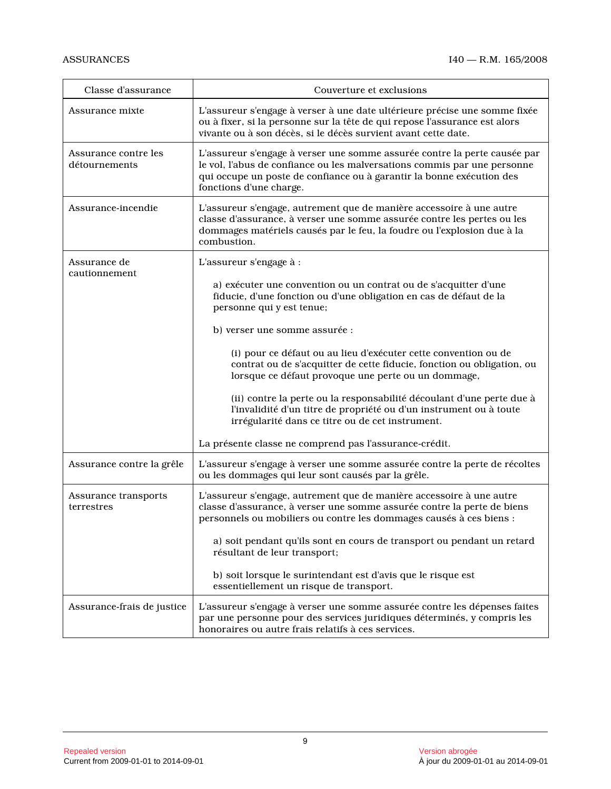| Classe d'assurance                    | Couverture et exclusions                                                                                                                                                                                                                                  |
|---------------------------------------|-----------------------------------------------------------------------------------------------------------------------------------------------------------------------------------------------------------------------------------------------------------|
| Assurance mixte                       | L'assureur s'engage à verser à une date ultérieure précise une somme fixée<br>ou à fixer, si la personne sur la tête de qui repose l'assurance est alors<br>vivante ou à son décès, si le décès survient avant cette date.                                |
| Assurance contre les<br>détournements | L'assureur s'engage à verser une somme assurée contre la perte causée par<br>le vol, l'abus de confiance ou les malversations commis par une personne<br>qui occupe un poste de confiance ou à garantir la bonne exécution des<br>fonctions d'une charge. |
| Assurance-incendie                    | L'assureur s'engage, autrement que de manière accessoire à une autre<br>classe d'assurance, à verser une somme assurée contre les pertes ou les<br>dommages matériels causés par le feu, la foudre ou l'explosion due à la<br>combustion.                 |
| Assurance de                          | L'assureur s'engage à :                                                                                                                                                                                                                                   |
| cautionnement                         | a) exécuter une convention ou un contrat ou de s'acquitter d'une<br>fiducie, d'une fonction ou d'une obligation en cas de défaut de la<br>personne qui y est tenue;                                                                                       |
|                                       | b) verser une somme assurée :                                                                                                                                                                                                                             |
|                                       | (i) pour ce défaut ou au lieu d'exécuter cette convention ou de<br>contrat ou de s'acquitter de cette fiducie, fonction ou obligation, ou<br>lorsque ce défaut provoque une perte ou un dommage,                                                          |
|                                       | (ii) contre la perte ou la responsabilité découlant d'une perte due à<br>l'invalidité d'un titre de propriété ou d'un instrument ou à toute<br>irrégularité dans ce titre ou de cet instrument.                                                           |
|                                       | La présente classe ne comprend pas l'assurance-crédit.                                                                                                                                                                                                    |
| Assurance contre la grêle             | L'assureur s'engage à verser une somme assurée contre la perte de récoltes<br>ou les dommages qui leur sont causés par la grêle.                                                                                                                          |
| Assurance transports<br>terrestres    | L'assureur s'engage, autrement que de manière accessoire à une autre<br>classe d'assurance, à verser une somme assurée contre la perte de biens<br>personnels ou mobiliers ou contre les dommages causés à ces biens :                                    |
|                                       | a) soit pendant qu'ils sont en cours de transport ou pendant un retard<br>résultant de leur transport;                                                                                                                                                    |
|                                       | b) soit lorsque le surintendant est d'avis que le risque est<br>essentiellement un risque de transport.                                                                                                                                                   |
| Assurance-frais de justice            | L'assureur s'engage à verser une somme assurée contre les dépenses faites<br>par une personne pour des services juridiques déterminés, y compris les<br>honoraires ou autre frais relatifs à ces services.                                                |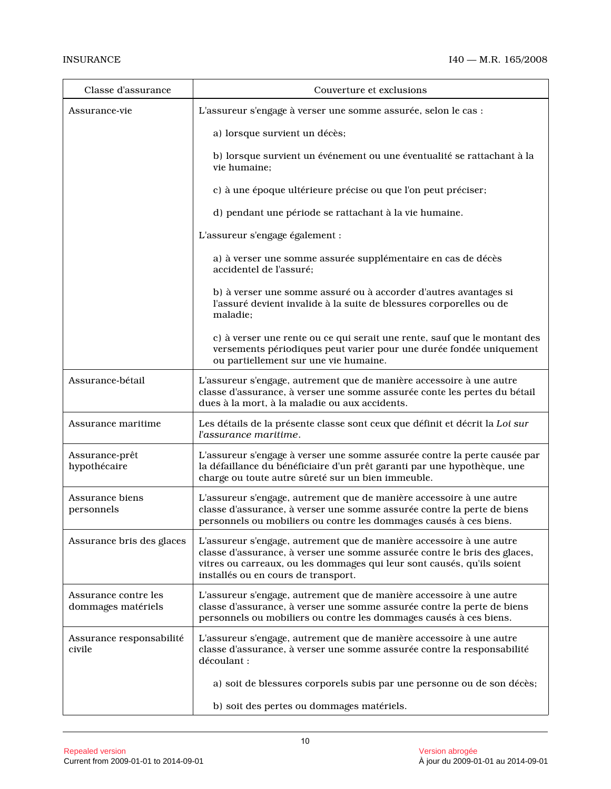| Classe d'assurance                         | Couverture et exclusions                                                                                                                                                                                                                                            |
|--------------------------------------------|---------------------------------------------------------------------------------------------------------------------------------------------------------------------------------------------------------------------------------------------------------------------|
| Assurance-vie                              | L'assureur s'engage à verser une somme assurée, selon le cas :                                                                                                                                                                                                      |
|                                            | a) lorsque survient un décès;                                                                                                                                                                                                                                       |
|                                            | b) lorsque survient un événement ou une éventualité se rattachant à la<br>vie humaine:                                                                                                                                                                              |
|                                            | c) à une époque ultérieure précise ou que l'on peut préciser;                                                                                                                                                                                                       |
|                                            | d) pendant une période se rattachant à la vie humaine.                                                                                                                                                                                                              |
|                                            | L'assureur s'engage également :                                                                                                                                                                                                                                     |
|                                            | a) à verser une somme assurée supplémentaire en cas de décès<br>accidentel de l'assuré;                                                                                                                                                                             |
|                                            | b) à verser une somme assuré ou à accorder d'autres avantages si<br>l'assuré devient invalide à la suite de blessures corporelles ou de<br>maladie:                                                                                                                 |
|                                            | c) à verser une rente ou ce qui serait une rente, sauf que le montant des<br>versements périodiques peut varier pour une durée fondée uniquement<br>ou partiellement sur une vie humaine.                                                                           |
| Assurance-bétail                           | L'assureur s'engage, autrement que de manière accessoire à une autre<br>classe d'assurance, à verser une somme assurée conte les pertes du bétail<br>dues à la mort, à la maladie ou aux accidents.                                                                 |
| Assurance maritime                         | Les détails de la présente classe sont ceux que définit et décrit la Loi sur<br>l'assurance maritime.                                                                                                                                                               |
| Assurance-prêt<br>hypothécaire             | L'assureur s'engage à verser une somme assurée contre la perte causée par<br>la défaillance du bénéficiaire d'un prêt garanti par une hypothèque, une<br>charge ou toute autre sûreté sur un bien immeuble.                                                         |
| Assurance biens<br>personnels              | L'assureur s'engage, autrement que de manière accessoire à une autre<br>classe d'assurance, à verser une somme assurée contre la perte de biens<br>personnels ou mobiliers ou contre les dommages causés à ces biens.                                               |
| Assurance bris des glaces                  | L'assureur s'engage, autrement que de manière accessoire à une autre<br>classe d'assurance, à verser une somme assurée contre le bris des glaces,<br>vitres ou carreaux, ou les dommages qui leur sont causés, qu'ils soient<br>installés ou en cours de transport. |
| Assurance contre les<br>dommages matériels | L'assureur s'engage, autrement que de manière accessoire à une autre<br>classe d'assurance, à verser une somme assurée contre la perte de biens<br>personnels ou mobiliers ou contre les dommages causés à ces biens.                                               |
| Assurance responsabilité<br>civile         | L'assureur s'engage, autrement que de manière accessoire à une autre<br>classe d'assurance, à verser une somme assurée contre la responsabilité<br>découlant :                                                                                                      |
|                                            | a) soit de blessures corporels subis par une personne ou de son décès;                                                                                                                                                                                              |
|                                            | b) soit des pertes ou dommages matériels.                                                                                                                                                                                                                           |